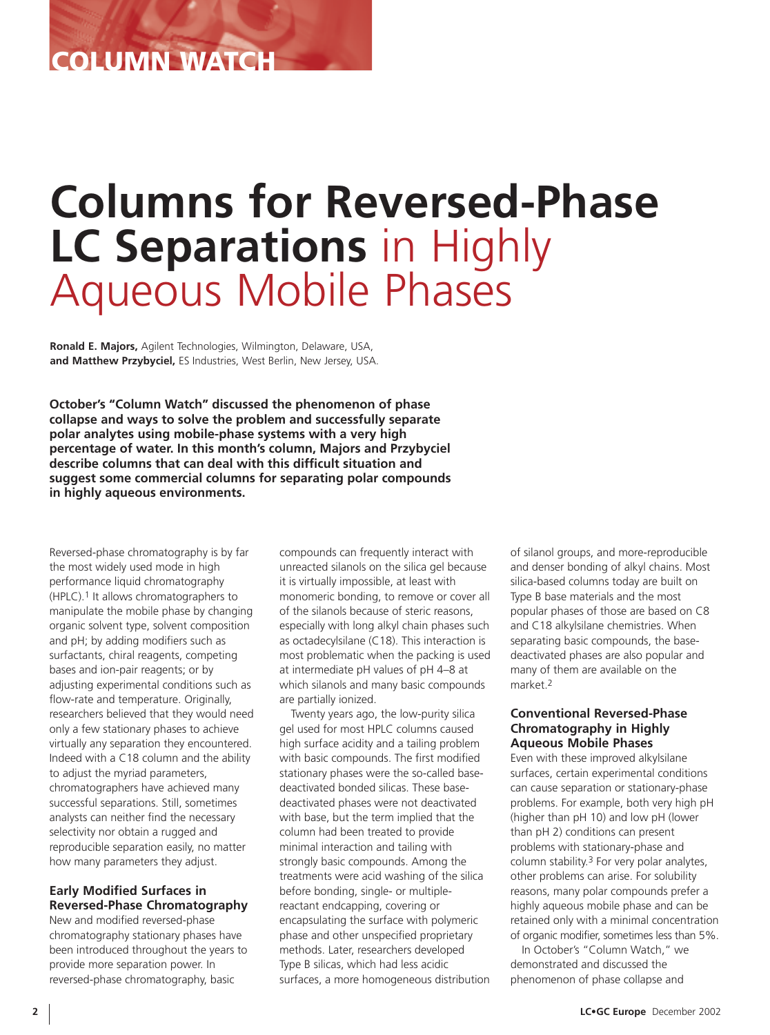## **COLUMN WATCH**

# **Columns for Reversed-Phase LC Separations** in Highly Aqueous Mobile Phases

**Ronald E. Majors,** Agilent Technologies, Wilmington, Delaware, USA, **and Matthew Przybyciel,** ES Industries, West Berlin, New Jersey, USA.

**October's "Column Watch" discussed the phenomenon of phase collapse and ways to solve the problem and successfully separate polar analytes using mobile-phase systems with a very high percentage of water. In this month's column, Majors and Przybyciel describe columns that can deal with this difficult situation and suggest some commercial columns for separating polar compounds in highly aqueous environments.**

Reversed-phase chromatography is by far the most widely used mode in high performance liquid chromatography (HPLC).1 It allows chromatographers to manipulate the mobile phase by changing organic solvent type, solvent composition and pH; by adding modifiers such as surfactants, chiral reagents, competing bases and ion-pair reagents; or by adjusting experimental conditions such as flow-rate and temperature. Originally, researchers believed that they would need only a few stationary phases to achieve virtually any separation they encountered. Indeed with a C18 column and the ability to adjust the myriad parameters, chromatographers have achieved many successful separations. Still, sometimes analysts can neither find the necessary selectivity nor obtain a rugged and reproducible separation easily, no matter how many parameters they adjust.

## **Early Modified Surfaces in Reversed-Phase Chromatography**

New and modified reversed-phase chromatography stationary phases have been introduced throughout the years to provide more separation power. In reversed-phase chromatography, basic

compounds can frequently interact with unreacted silanols on the silica gel because it is virtually impossible, at least with monomeric bonding, to remove or cover all of the silanols because of steric reasons, especially with long alkyl chain phases such as octadecylsilane (C18). This interaction is most problematic when the packing is used at intermediate pH values of pH 4–8 at which silanols and many basic compounds are partially ionized.

Twenty years ago, the low-purity silica gel used for most HPLC columns caused high surface acidity and a tailing problem with basic compounds. The first modified stationary phases were the so-called basedeactivated bonded silicas. These basedeactivated phases were not deactivated with base, but the term implied that the column had been treated to provide minimal interaction and tailing with strongly basic compounds. Among the treatments were acid washing of the silica before bonding, single- or multiplereactant endcapping, covering or encapsulating the surface with polymeric phase and other unspecified proprietary methods. Later, researchers developed Type B silicas, which had less acidic surfaces, a more homogeneous distribution of silanol groups, and more-reproducible and denser bonding of alkyl chains. Most silica-based columns today are built on Type B base materials and the most popular phases of those are based on C8 and C18 alkylsilane chemistries. When separating basic compounds, the basedeactivated phases are also popular and many of them are available on the market 2

## **Conventional Reversed-Phase Chromatography in Highly Aqueous Mobile Phases**

Even with these improved alkylsilane surfaces, certain experimental conditions can cause separation or stationary-phase problems. For example, both very high pH (higher than pH 10) and low pH (lower than pH 2) conditions can present problems with stationary-phase and column stability.3 For very polar analytes, other problems can arise. For solubility reasons, many polar compounds prefer a highly aqueous mobile phase and can be retained only with a minimal concentration of organic modifier, sometimes less than 5%.

In October's "Column Watch," we demonstrated and discussed the phenomenon of phase collapse and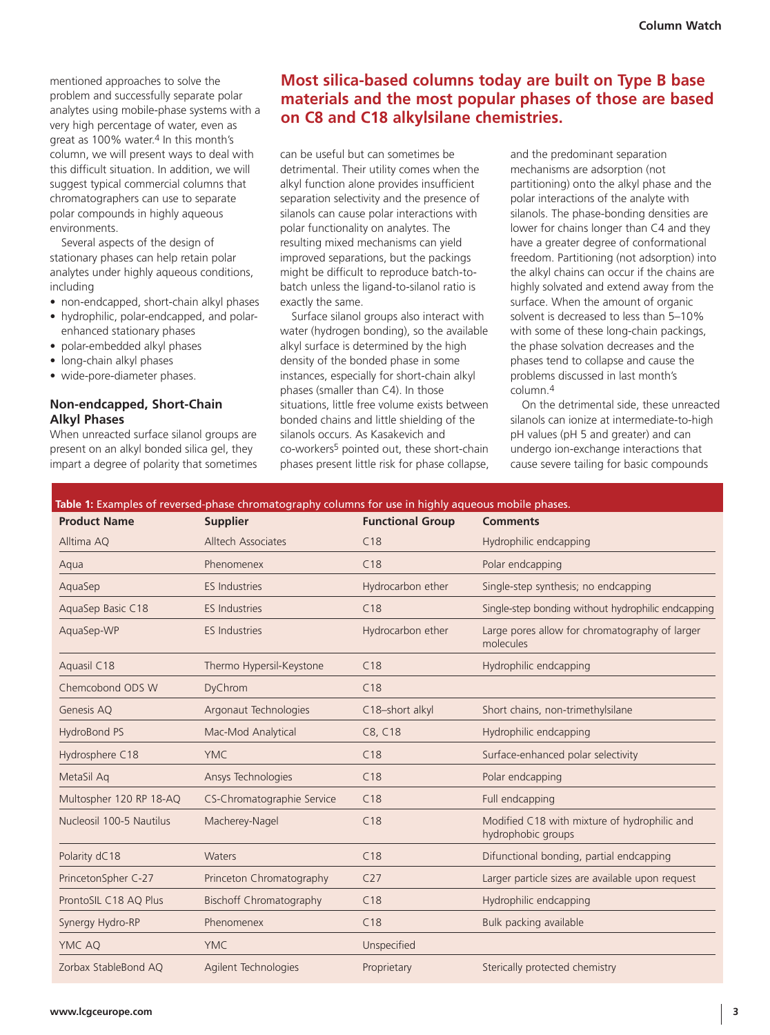mentioned approaches to solve the problem and successfully separate polar analytes using mobile-phase systems with a very high percentage of water, even as great as 100% water.<sup>4</sup> In this month's column, we will present ways to deal with this difficult situation. In addition, we will suggest typical commercial columns that chromatographers can use to separate polar compounds in highly aqueous environments.

Several aspects of the design of stationary phases can help retain polar analytes under highly aqueous conditions, including

- non-endcapped, short-chain alkyl phases
- hydrophilic, polar-endcapped, and polarenhanced stationary phases
- polar-embedded alkyl phases
- long-chain alkyl phases
- wide-pore-diameter phases.

## **Non-endcapped, Short-Chain Alkyl Phases**

When unreacted surface silanol groups are present on an alkyl bonded silica gel, they impart a degree of polarity that sometimes

## **Most silica-based columns today are built on Type B base materials and the most popular phases of those are based on C8 and C18 alkylsilane chemistries.**

can be useful but can sometimes be detrimental. Their utility comes when the alkyl function alone provides insufficient separation selectivity and the presence of silanols can cause polar interactions with polar functionality on analytes. The resulting mixed mechanisms can yield improved separations, but the packings might be difficult to reproduce batch-tobatch unless the ligand-to-silanol ratio is exactly the same.

Surface silanol groups also interact with water (hydrogen bonding), so the available alkyl surface is determined by the high density of the bonded phase in some instances, especially for short-chain alkyl phases (smaller than C4). In those situations, little free volume exists between bonded chains and little shielding of the silanols occurs. As Kasakevich and co-workers5 pointed out, these short-chain phases present little risk for phase collapse,

and the predominant separation mechanisms are adsorption (not partitioning) onto the alkyl phase and the polar interactions of the analyte with silanols. The phase-bonding densities are lower for chains longer than C4 and they have a greater degree of conformational freedom. Partitioning (not adsorption) into the alkyl chains can occur if the chains are highly solvated and extend away from the surface. When the amount of organic solvent is decreased to less than 5–10% with some of these long-chain packings, the phase solvation decreases and the phases tend to collapse and cause the problems discussed in last month's column.4

On the detrimental side, these unreacted silanols can ionize at intermediate-to-high pH values (pH 5 and greater) and can undergo ion-exchange interactions that cause severe tailing for basic compounds

| <b>Product Name</b>      | <b>Supplier</b>                | <b>Functional Group</b> | <b>Comments</b>                                                    |  |
|--------------------------|--------------------------------|-------------------------|--------------------------------------------------------------------|--|
| Alltima AQ               | Alltech Associates             | C18                     | Hydrophilic endcapping                                             |  |
| Aqua                     | Phenomenex                     | C18                     | Polar endcapping                                                   |  |
| AquaSep                  | <b>ES Industries</b>           | Hydrocarbon ether       | Single-step synthesis; no endcapping                               |  |
| AquaSep Basic C18        | <b>ES Industries</b>           | C18                     | Single-step bonding without hydrophilic endcapping                 |  |
| AquaSep-WP               | <b>ES Industries</b>           | Hydrocarbon ether       | Large pores allow for chromatography of larger<br>molecules        |  |
| Aquasil C18              | Thermo Hypersil-Keystone       | C18                     | Hydrophilic endcapping                                             |  |
| Chemcobond ODS W         | DyChrom                        | C18                     |                                                                    |  |
| Genesis AQ               | Argonaut Technologies          | C18-short alkyl         | Short chains, non-trimethylsilane                                  |  |
| HydroBond PS             | Mac-Mod Analytical             | C8, C18                 | Hydrophilic endcapping                                             |  |
| Hydrosphere C18          | <b>YMC</b>                     | C18                     | Surface-enhanced polar selectivity                                 |  |
| MetaSil Aq               | Ansys Technologies             | C18                     | Polar endcapping                                                   |  |
| Multospher 120 RP 18-AQ  | CS-Chromatographie Service     | C18                     | Full endcapping                                                    |  |
| Nucleosil 100-5 Nautilus | Macherey-Nagel                 | C18                     | Modified C18 with mixture of hydrophilic and<br>hydrophobic groups |  |
| Polarity dC18            | Waters                         | C18                     | Difunctional bonding, partial endcapping                           |  |
| PrincetonSpher C-27      | Princeton Chromatography       | C <sub>27</sub>         | Larger particle sizes are available upon request                   |  |
| ProntoSIL C18 AQ Plus    | <b>Bischoff Chromatography</b> | C18                     | Hydrophilic endcapping                                             |  |
| Synergy Hydro-RP         | Phenomenex                     | C18                     | Bulk packing available                                             |  |
| YMC AQ                   | <b>YMC</b>                     | Unspecified             |                                                                    |  |
| Zorbax StableBond AO     | Agilent Technologies           | Proprietary             | Sterically protected chemistry                                     |  |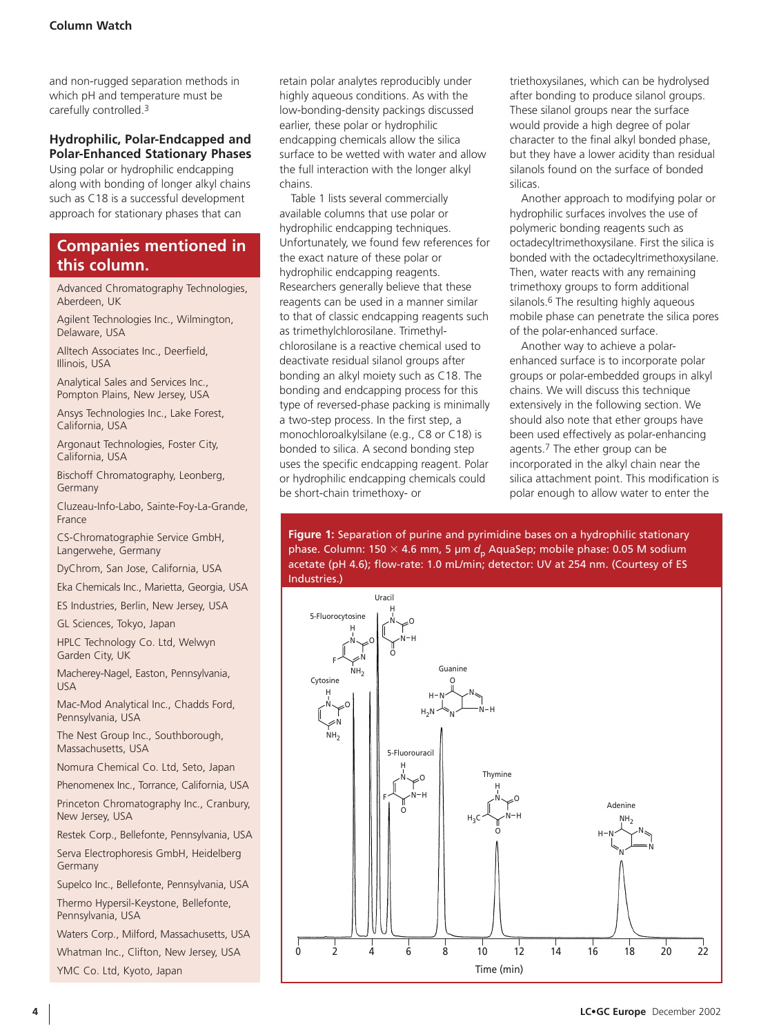and non-rugged separation methods in which pH and temperature must be carefully controlled.3

## **Hydrophilic, Polar-Endcapped and Polar-Enhanced Stationary Phases**

Using polar or hydrophilic endcapping along with bonding of longer alkyl chains such as C18 is a successful development approach for stationary phases that can

## **Companies mentioned in this column.**

Advanced Chromatography Technologies, Aberdeen, UK

Agilent Technologies Inc., Wilmington, Delaware, USA

Alltech Associates Inc., Deerfield, Illinois, USA

Analytical Sales and Services Inc., Pompton Plains, New Jersey, USA

Ansys Technologies Inc., Lake Forest, California, USA

Argonaut Technologies, Foster City, California, USA

Bischoff Chromatography, Leonberg, Germany

Cluzeau-Info-Labo, Sainte-Foy-La-Grande, France

CS-Chromatographie Service GmbH, Langerwehe, Germany

DyChrom, San Jose, California, USA

Eka Chemicals Inc., Marietta, Georgia, USA

ES Industries, Berlin, New Jersey, USA

GL Sciences, Tokyo, Japan

HPLC Technology Co. Ltd, Welwyn Garden City, UK

Macherey-Nagel, Easton, Pennsylvania, USA

Mac-Mod Analytical Inc., Chadds Ford, Pennsylvania, USA

The Nest Group Inc., Southborough, Massachusetts, USA

Nomura Chemical Co. Ltd, Seto, Japan Phenomenex Inc., Torrance, California, USA

Princeton Chromatography Inc., Cranbury, New Jersey, USA

Restek Corp., Bellefonte, Pennsylvania, USA

Serva Electrophoresis GmbH, Heidelberg Germany

Supelco Inc., Bellefonte, Pennsylvania, USA Thermo Hypersil-Keystone, Bellefonte, Pennsylvania, USA

Waters Corp., Milford, Massachusetts, USA

Whatman Inc., Clifton, New Jersey, USA YMC Co. Ltd, Kyoto, Japan

retain polar analytes reproducibly under highly aqueous conditions. As with the low-bonding-density packings discussed earlier, these polar or hydrophilic endcapping chemicals allow the silica surface to be wetted with water and allow the full interaction with the longer alkyl chains.

Table 1 lists several commercially available columns that use polar or hydrophilic endcapping techniques. Unfortunately, we found few references for the exact nature of these polar or hydrophilic endcapping reagents. Researchers generally believe that these reagents can be used in a manner similar to that of classic endcapping reagents such as trimethylchlorosilane. Trimethylchlorosilane is a reactive chemical used to deactivate residual silanol groups after bonding an alkyl moiety such as C18. The bonding and endcapping process for this type of reversed-phase packing is minimally a two-step process. In the first step, a monochloroalkylsilane (e.g., C8 or C18) is bonded to silica. A second bonding step uses the specific endcapping reagent. Polar or hydrophilic endcapping chemicals could be short-chain trimethoxy- or

triethoxysilanes, which can be hydrolysed after bonding to produce silanol groups. These silanol groups near the surface would provide a high degree of polar character to the final alkyl bonded phase, but they have a lower acidity than residual silanols found on the surface of bonded silicas.

Another approach to modifying polar or hydrophilic surfaces involves the use of polymeric bonding reagents such as octadecyltrimethoxysilane. First the silica is bonded with the octadecyltrimethoxysilane. Then, water reacts with any remaining trimethoxy groups to form additional silanols.<sup>6</sup> The resulting highly aqueous mobile phase can penetrate the silica pores of the polar-enhanced surface.

Another way to achieve a polarenhanced surface is to incorporate polar groups or polar-embedded groups in alkyl chains. We will discuss this technique extensively in the following section. We should also note that ether groups have been used effectively as polar-enhancing agents.7 The ether group can be incorporated in the alkyl chain near the silica attachment point. This modification is polar enough to allow water to enter the

**Figure 1:** Separation of purine and pyrimidine bases on a hydrophilic stationary phase. Column: 150 × 4.6 mm, 5 µm *d<sub>p</sub>* AquaSep; mobile phase: 0.05 M sodium acetate (pH 4.6); flow-rate: 1.0 mL/min; detector: UV at 254 nm. (Courtesy of ES Industries.)

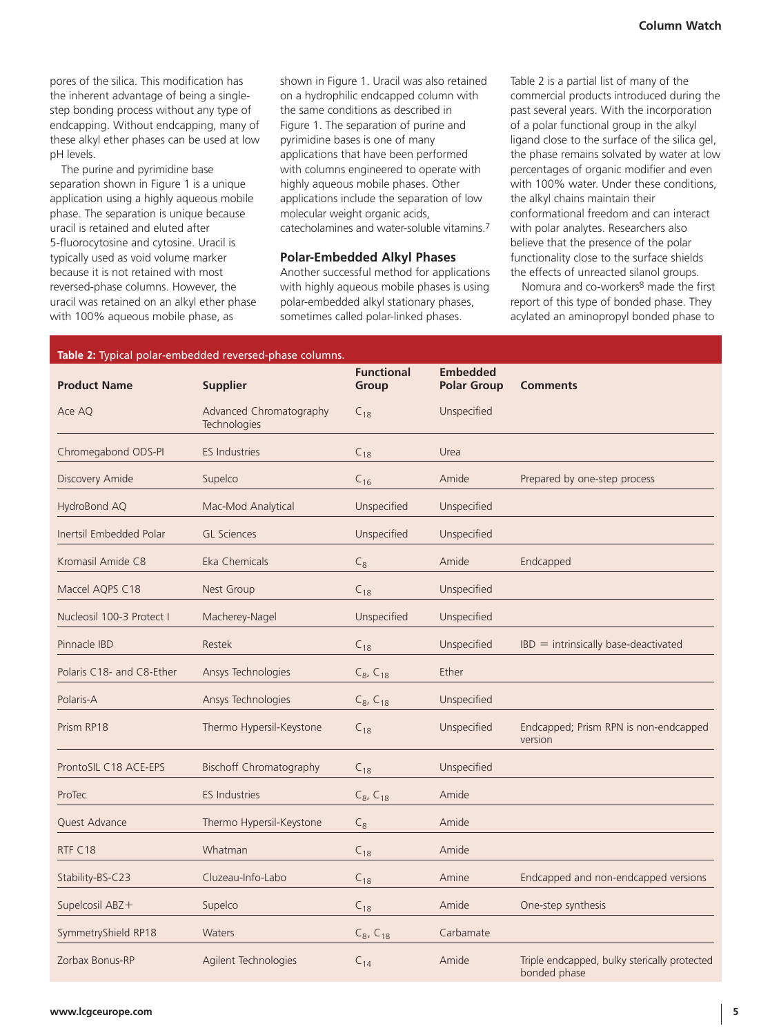pores of the silica. This modification has the inherent advantage of being a singlestep bonding process without any type of endcapping. Without endcapping, many of these alkyl ether phases can be used at low pH levels.

The purine and pyrimidine base separation shown in Figure 1 is a unique application using a highly aqueous mobile phase. The separation is unique because uracil is retained and eluted after 5-fluorocytosine and cytosine. Uracil is typically used as void volume marker because it is not retained with most reversed-phase columns. However, the uracil was retained on an alkyl ether phase with 100% aqueous mobile phase, as

shown in Figure 1. Uracil was also retained on a hydrophilic endcapped column with the same conditions as described in Figure 1. The separation of purine and pyrimidine bases is one of many applications that have been performed with columns engineered to operate with highly aqueous mobile phases. Other applications include the separation of low molecular weight organic acids, catecholamines and water-soluble vitamins.7

### **Polar-Embedded Alkyl Phases**

Another successful method for applications with highly aqueous mobile phases is using polar-embedded alkyl stationary phases, sometimes called polar-linked phases.

Table 2 is a partial list of many of the commercial products introduced during the past several years. With the incorporation of a polar functional group in the alkyl ligand close to the surface of the silica gel, the phase remains solvated by water at low percentages of organic modifier and even with 100% water. Under these conditions, the alkyl chains maintain their conformational freedom and can interact with polar analytes. Researchers also believe that the presence of the polar functionality close to the surface shields the effects of unreacted silanol groups.

Nomura and co-workers8 made the first report of this type of bonded phase. They acylated an aminopropyl bonded phase to

|                           | Table 2: Typical polar-embedded reversed-phase columns. |                            |                                       |                                                              |
|---------------------------|---------------------------------------------------------|----------------------------|---------------------------------------|--------------------------------------------------------------|
| <b>Product Name</b>       | <b>Supplier</b>                                         | <b>Functional</b><br>Group | <b>Embedded</b><br><b>Polar Group</b> | <b>Comments</b>                                              |
| Ace AQ                    | Advanced Chromatography<br>Technologies                 | $C_{18}$                   | Unspecified                           |                                                              |
| Chromegabond ODS-PI       | <b>ES Industries</b>                                    | $C_{18}$                   | Urea                                  |                                                              |
| Discovery Amide           | Supelco                                                 | $C_{16}$                   | Amide                                 | Prepared by one-step process                                 |
| HydroBond AQ              | Mac-Mod Analytical                                      | Unspecified                | Unspecified                           |                                                              |
| Inertsil Embedded Polar   | <b>GL Sciences</b>                                      | Unspecified                | Unspecified                           |                                                              |
| Kromasil Amide C8         | Eka Chemicals                                           | $C_8$                      | Amide                                 | Endcapped                                                    |
| Maccel AQPS C18           | <b>Nest Group</b>                                       | $C_{18}$                   | Unspecified                           |                                                              |
| Nucleosil 100-3 Protect I | Macherey-Nagel                                          | Unspecified                | Unspecified                           |                                                              |
| Pinnacle IBD              | Restek                                                  | $C_{18}$                   | Unspecified                           | $IBD =$ intrinsically base-deactivated                       |
| Polaris C18- and C8-Ether | Ansys Technologies                                      | $C_8$ , $C_{18}$           | Ether                                 |                                                              |
| Polaris-A                 | Ansys Technologies                                      | $C_8$ , $C_{18}$           | Unspecified                           |                                                              |
| Prism RP18                | Thermo Hypersil-Keystone                                | $C_{18}$                   | Unspecified                           | Endcapped; Prism RPN is non-endcapped<br>version             |
| ProntoSIL C18 ACE-EPS     | <b>Bischoff Chromatography</b>                          | $C_{18}$                   | Unspecified                           |                                                              |
| ProTec                    | <b>ES Industries</b>                                    | $C_8, C_{18}$              | Amide                                 |                                                              |
| Quest Advance             | Thermo Hypersil-Keystone                                | $C_8$                      | Amide                                 |                                                              |
| RTF C18                   | Whatman                                                 | $C_{18}$                   | Amide                                 |                                                              |
| Stability-BS-C23          | Cluzeau-Info-Labo                                       | $C_{18}$                   | Amine                                 | Endcapped and non-endcapped versions                         |
| Supelcosil ABZ+           | Supelco                                                 | $C_{18}$                   | Amide                                 | One-step synthesis                                           |
| SymmetryShield RP18       | <b>Waters</b>                                           | $C_8$ , $C_{18}$           | Carbamate                             |                                                              |
| Zorbax Bonus-RP           | Agilent Technologies                                    | $C_{14}$                   | Amide                                 | Triple endcapped, bulky sterically protected<br>bonded phase |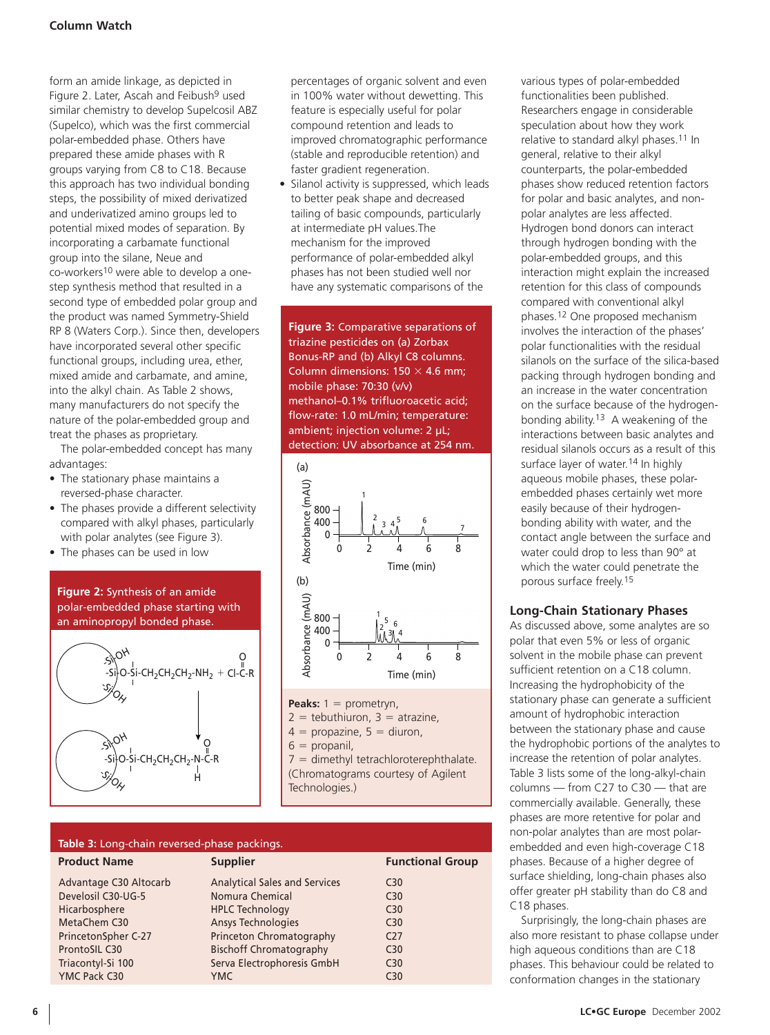form an amide linkage, as depicted in Figure 2. Later, Ascah and Feibush<sup>9</sup> used similar chemistry to develop Supelcosil ABZ (Supelco), which was the first commercial polar-embedded phase. Others have prepared these amide phases with R groups varying from C8 to C18. Because this approach has two individual bonding steps, the possibility of mixed derivatized and underivatized amino groups led to potential mixed modes of separation. By incorporating a carbamate functional group into the silane, Neue and co-workers10 were able to develop a onestep synthesis method that resulted in a second type of embedded polar group and the product was named Symmetry-Shield RP 8 (Waters Corp.). Since then, developers have incorporated several other specific functional groups, including urea, ether, mixed amide and carbamate, and amine, into the alkyl chain. As Table 2 shows, many manufacturers do not specify the nature of the polar-embedded group and treat the phases as proprietary.

The polar-embedded concept has many advantages:

- The stationary phase maintains a reversed-phase character.
- The phases provide a different selectivity compared with alkyl phases, particularly with polar analytes (see Figure 3).
- The phases can be used in low

## **Figure 2:** Synthesis of an amide polar-embedded phase starting with an aminopropyl bonded phase.



percentages of organic solvent and even in 100% water without dewetting. This feature is especially useful for polar compound retention and leads to improved chromatographic performance (stable and reproducible retention) and faster gradient regeneration.

• Silanol activity is suppressed, which leads to better peak shape and decreased tailing of basic compounds, particularly at intermediate pH values.The mechanism for the improved performance of polar-embedded alkyl phases has not been studied well nor have any systematic comparisons of the

**Figure 3:** Comparative separations of triazine pesticides on (a) Zorbax Bonus-RP and (b) Alkyl C8 columns. Column dimensions:  $150 \times 4.6$  mm; mobile phase: 70:30 (v/v) methanol–0.1% trifluoroacetic acid; flow-rate: 1.0 mL/min; temperature: ambient; injection volume: 2 µL; detection: UV absorbance at 254 nm.



**Peaks:** 1 = prometryn,  $2 =$  tebuthiuron,  $3 =$  atrazine,

 $4$  = propazine,  $5$  = diuron,

 $6$  = propanil,

 $7 =$  dimethyl tetrachloroterephthalate. (Chromatograms courtesy of Agilent Technologies.)

| Table 3: Long-chain reversed-phase packings. |                                      |                         |  |  |  |  |
|----------------------------------------------|--------------------------------------|-------------------------|--|--|--|--|
| <b>Product Name</b>                          | <b>Supplier</b>                      | <b>Functional Group</b> |  |  |  |  |
| Advantage C30 Altocarb                       | <b>Analytical Sales and Services</b> | C <sub>30</sub>         |  |  |  |  |
| Develosil C30-UG-5                           | Nomura Chemical                      | C <sub>30</sub>         |  |  |  |  |
| Hicarbosphere                                | <b>HPLC Technology</b>               | C <sub>30</sub>         |  |  |  |  |
| MetaChem C30                                 | <b>Ansys Technologies</b>            | C <sub>30</sub>         |  |  |  |  |
| PrincetonSpher C-27                          | Princeton Chromatography             | C <sub>27</sub>         |  |  |  |  |
| ProntoSIL C30                                | <b>Bischoff Chromatography</b>       | C <sub>30</sub>         |  |  |  |  |
| Triacontyl-Si 100                            | Serva Electrophoresis GmbH           | C <sub>30</sub>         |  |  |  |  |
| YMC Pack C30                                 | <b>YMC</b>                           | C <sub>30</sub>         |  |  |  |  |

various types of polar-embedded functionalities been published. Researchers engage in considerable speculation about how they work relative to standard alkyl phases.11 In general, relative to their alkyl counterparts, the polar-embedded phases show reduced retention factors for polar and basic analytes, and nonpolar analytes are less affected. Hydrogen bond donors can interact through hydrogen bonding with the polar-embedded groups, and this interaction might explain the increased retention for this class of compounds compared with conventional alkyl phases.12 One proposed mechanism involves the interaction of the phases' polar functionalities with the residual silanols on the surface of the silica-based packing through hydrogen bonding and an increase in the water concentration on the surface because of the hydrogenbonding ability.13 A weakening of the interactions between basic analytes and residual silanols occurs as a result of this surface layer of water.<sup>14</sup> In highly aqueous mobile phases, these polarembedded phases certainly wet more easily because of their hydrogenbonding ability with water, and the contact angle between the surface and water could drop to less than 90° at which the water could penetrate the porous surface freely.15

## **Long-Chain Stationary Phases**

As discussed above, some analytes are so polar that even 5% or less of organic solvent in the mobile phase can prevent sufficient retention on a C18 column. Increasing the hydrophobicity of the stationary phase can generate a sufficient amount of hydrophobic interaction between the stationary phase and cause the hydrophobic portions of the analytes to increase the retention of polar analytes. Table 3 lists some of the long-alkyl-chain columns — from C27 to C30 — that are commercially available. Generally, these phases are more retentive for polar and non-polar analytes than are most polarembedded and even high-coverage C18 phases. Because of a higher degree of surface shielding, long-chain phases also offer greater pH stability than do C8 and C18 phases.

Surprisingly, the long-chain phases are also more resistant to phase collapse under high aqueous conditions than are C18 phases. This behaviour could be related to conformation changes in the stationary